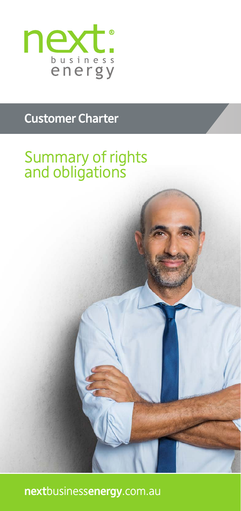

# **Customer Charter**

# Summary of rights and obligations

**next**business**energy**.com.au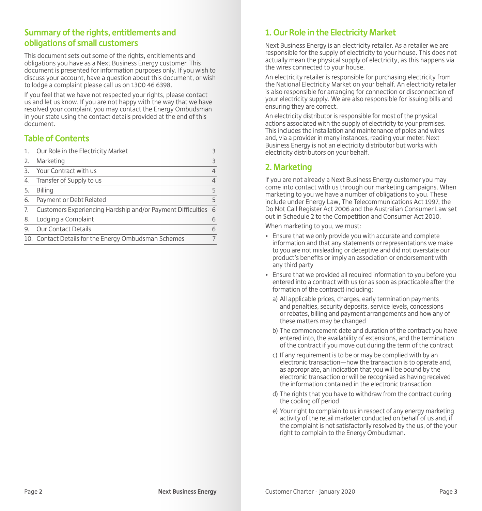## **Summary of the rights, entitlements and obligations of small customers**

This document sets out some of the rights, entitlements and obligations you have as a Next Business Energy customer. This document is presented for information purposes only. If you wish to discuss your account, have a question about this document, or wish to lodge a complaint please call us on 1300 46 6398.

If you feel that we have not respected your rights, please contact us and let us know. If you are not happy with the way that we have resolved your complaint you may contact the Energy Ombudsman in your state using the contact details provided at the end of this document.

## **Table of Contents**

|    | Our Role in the Electricity Market                          | З              |
|----|-------------------------------------------------------------|----------------|
| 2. | Marketing                                                   | 3              |
| 3. | Your Contract with us                                       | $\overline{4}$ |
| 4. | Transfer of Supply to us                                    | 4              |
| 5. | <b>Billing</b>                                              | 5              |
| 6. | Payment or Debt Related                                     | 5              |
| 7. | Customers Experiencing Hardship and/or Payment Difficulties | 6              |
| 8. | Lodging a Complaint                                         | 6              |
| 9. | <b>Our Contact Details</b>                                  | 6              |
|    | 10. Contact Details for the Energy Ombudsman Schemes        | 7              |
|    |                                                             |                |

# **1. Our Role in the Electricity Market**

Next Business Energy is an electricity retailer. As a retailer we are responsible for the supply of electricity to your house. This does not actually mean the physical supply of electricity, as this happens via the wires connected to your house.

An electricity retailer is responsible for purchasing electricity from the National Electricity Market on your behalf. An electricity retailer is also responsible for arranging for connection or disconnection of your electricity supply. We are also responsible for issuing bills and ensuring they are correct.

An electricity distributor is responsible for most of the physical actions associated with the supply of electricity to your premises. This includes the installation and maintenance of poles and wires and, via a provider in many instances, reading your meter. Next Business Energy is not an electricity distributor but works with electricity distributors on your behalf.

## **2. Marketing**

If you are not already a Next Business Energy customer you may come into contact with us through our marketing campaigns. When marketing to you we have a number of obligations to you. These include under Energy Law, The Telecommunications Act 1997, the Do Not Call Register Act 2006 and the Australian Consumer Law set out in Schedule 2 to the Competition and Consumer Act 2010.

When marketing to you, we must:

- Ensure that we only provide you with accurate and complete information and that any statements or representations we make to you are not misleading or deceptive and did not overstate our product's benefits or imply an association or endorsement with any third party
- Ensure that we provided all required information to you before you entered into a contract with us (or as soon as practicable after the formation of the contract) including:
	- a) All applicable prices, charges, early termination payments and penalties, security deposits, service levels, concessions or rebates, billing and payment arrangements and how any of these matters may be changed
	- b) The commencement date and duration of the contract you have entered into, the availability of extensions, and the termination of the contract if you move out during the term of the contract
	- c) If any requirement is to be or may be complied with by an electronic transaction—how the transaction is to operate and, as appropriate, an indication that you will be bound by the electronic transaction or will be recognised as having received the information contained in the electronic transaction
	- d) The rights that you have to withdraw from the contract during the cooling off period
	- e) Your right to complain to us in respect of any energy marketing activity of the retail marketer conducted on behalf of us and, if the complaint is not satisfactorily resolved by the us, of the your right to complain to the Energy Ombudsman.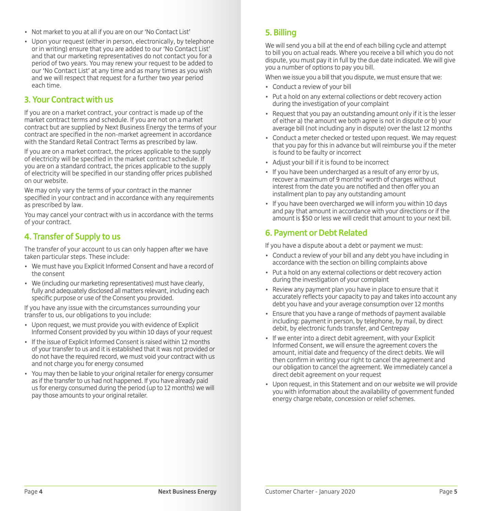- Not market to you at all if you are on our 'No Contact List'
- Upon your request (either in person, electronically, by telephone or in writing) ensure that you are added to our 'No Contact List' and that our marketing representatives do not contact you for a period of two years. You may renew your request to be added to our 'No Contact List' at any time and as many times as you wish and we will respect that request for a further two year period each time.

#### **3. Your Contract with us**

If you are on a market contract, your contract is made up of the market contract terms and schedule. If you are not on a market contract but are supplied by Next Business Energy the terms of your contract are specified in the non-market agreement in accordance with the Standard Retail Contract Terms as prescribed by law.

If you are on a market contract, the prices applicable to the supply of electricity will be specified in the market contract schedule. If you are on a standard contract, the prices applicable to the supply of electricity will be specified in our standing offer prices published on our website.

We may only vary the terms of your contract in the manner specified in your contract and in accordance with any requirements as prescribed by law.

You may cancel your contract with us in accordance with the terms of your contract.

## **4. Transfer of Supply to us**

The transfer of your account to us can only happen after we have taken particular steps. These include:

- We must have you Explicit Informed Consent and have a record of the consent
- We (including our marketing representatives) must have clearly, fully and adequately disclosed all matters relevant, including each specific purpose or use of the Consent you provided.

If you have any issue with the circumstances surrounding your transfer to us, our obligations to you include:

- Upon request, we must provide you with evidence of Explicit Informed Consent provided by you within 10 days of your request
- If the issue of Explicit Informed Consent is raised within 12 months of your transfer to us and it is established that it was not provided or do not have the required record, we must void your contract with us and not charge you for energy consumed
- You may then be liable to your original retailer for energy consumer as if the transfer to us had not happened. If you have already paid us for energy consumed during the period (up to 12 months) we will pay those amounts to your original retailer.

## **5. Billing**

We will send you a bill at the end of each billing cycle and attempt to bill you on actual reads. Where you receive a bill which you do not dispute, you must pay it in full by the due date indicated. We will give you a number of options to pay you bill.

When we issue you a bill that you dispute, we must ensure that we:

- Conduct a review of your bill
- Put a hold on any external collections or debt recovery action during the investigation of your complaint
- Request that you pay an outstanding amount only if it is the lesser of either a) the amount we both agree is not in dispute or b) your average bill (not including any in dispute) over the last 12 months
- Conduct a meter checked or tested upon request. We may request that you pay for this in advance but will reimburse you if the meter is found to be faulty or incorrect
- Adjust your bill if it is found to be incorrect
- If you have been undercharged as a result of any error by us, recover a maximum of 9 months' worth of charges without interest from the date you are notified and then offer you an installment plan to pay any outstanding amount
- If you have been overcharged we will inform you within 10 days and pay that amount in accordance with your directions or if the amount is \$50 or less we will credit that amount to your next bill.

#### **6. Payment or Debt Related**

If you have a dispute about a debt or payment we must:

- Conduct a review of your bill and any debt you have including in accordance with the section on billing complaints above
- Put a hold on any external collections or debt recovery action during the investigation of your complaint
- Review any payment plan you have in place to ensure that it accurately reflects your capacity to pay and takes into account any debt you have and your average consumption over 12 months
- Ensure that you have a range of methods of payment available including: payment in person, by telephone, by mail, by direct debit, by electronic funds transfer, and Centrepay
- If we enter into a direct debit agreement, with your Explicit Informed Consent, we will ensure the agreement covers the amount, initial date and frequency of the direct debits. We will then confirm in writing your right to cancel the agreement and our obligation to cancel the agreement. We immediately cancel a direct debit agreement on your request
- Upon request, in this Statement and on our website we will provide you with information about the availability of government funded energy charge rebate, concession or relief schemes.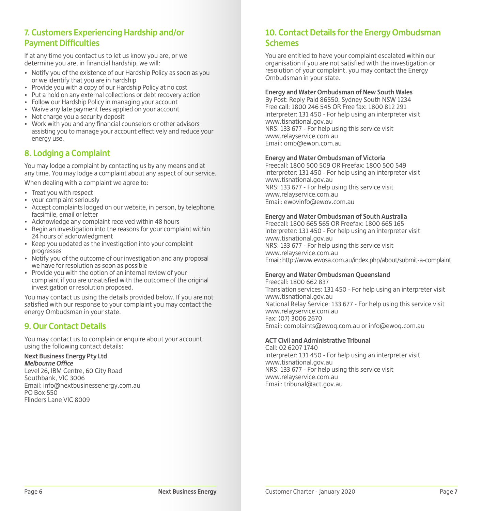### **7. Customers Experiencing Hardship and/or Payment Difficulties**

If at any time you contact us to let us know you are, or we determine you are, in financial hardship, we will:

- Notify you of the existence of our Hardship Policy as soon as you or we identify that you are in hardship
- Provide you with a copy of our Hardship Policy at no cost
- Put a hold on any external collections or debt recovery action
- Follow our Hardship Policy in managing your account
- Waive any late payment fees applied on your account
- $\bullet$  Not charge you a security deposit
- Work with you and any financial counselors or other advisors assisting you to manage your account effectively and reduce your energy use.

## **8. Lodging a Complaint**

You may lodge a complaint by contacting us by any means and at any time. You may lodge a complaint about any aspect of our service.

When dealing with a complaint we agree to:

- Treat you with respect
- your complaint seriously
- Accept complaints lodged on our website, in person, by telephone, facsimile, email or letter
- Acknowledge any complaint received within 48 hours
- Begin an investigation into the reasons for your complaint within 24 hours of acknowledgment
- Keep you updated as the investigation into your complaint progresses
- Notify you of the outcome of our investigation and any proposal we have for resolution as soon as possible
- Provide you with the option of an internal review of your complaint if you are unsatisfied with the outcome of the original investigation or resolution proposed.

You may contact us using the details provided below. If you are not satisfied with our response to your complaint you may contact the energy Ombudsman in your state.

## **9. Our Contact Details**

You may contact us to complain or enquire about your account using the following contact details:

#### **Next Business Energy Pty Ltd** *Melbourne Office*

Level 26, IBM Centre, 60 City Road Southbank, VIC 3006 Email: info@nextbusinessenergy.com.au PO Box 550 Flinders Lane VIC 8009

## **10. Contact Details for the Energy Ombudsman Schemes**

You are entitled to have your complaint escalated within our organisation if you are not satisfied with the investigation or resolution of your complaint, you may contact the Energy Ombudsman in your state.

#### **Energy and Water Ombudsman of New South Wales**

By Post: Reply Paid 86550, Sydney South NSW 1234 Free call: 1800 246 545 OR Free fax: 1800 812 291 Interpreter: 131 450 - For help using an interpreter visit www.tisnational.gov.au NRS: 133 677 - For help using this service visit www.relayservice.com.au Email: omb@ewon.com.au

#### **Energy and Water Ombudsman of Victoria**

Freecall: 1800 500 509 OR Freefax: 1800 500 549 Interpreter: 131 450 - For help using an interpreter visit www.tisnational.gov.au NRS: 133 677 - For help using this service visit www.relayservice.com.au Email: ewovinfo@ewov.com.au

#### **Energy and Water Ombudsman of South Australia**

Freecall: 1800 665 565 OR Freefax: 1800 665 165 Interpreter: 131 450 - For help using an interpreter visit www.tisnational.gov.au NRS: 133 677 - For help using this service visit www.relayservice.com.au Email:http://www.ewosa.com.au/index.php/about/submit-a-complaint

#### **Energy and Water Ombudsman Queensland**

Freecall: 1800 662 837 Translation services: 131 450 - For help using an interpreter visit www.tisnational.gov.au National Relay Service: 133 677 - For help using this service visit www.relayservice.com.au Fax: (07) 3006 2670 Email: complaints@ewoq.com.au or info@ewoq.com.au

#### **ACT Civil and Administrative Tribunal**

Call: 02 6207 1740 Interpreter: 131 450 - For help using an interpreter visit www.tisnational.gov.au NRS: 133 677 - For help using this service visit www.relayservice.com.au Email: tribunal@act.gov.au